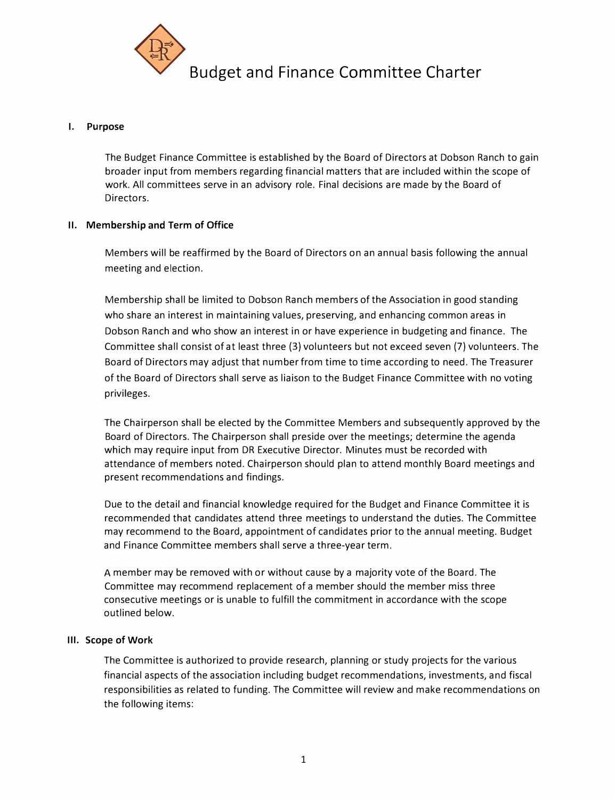

## **I. Purpose**

The Budget Finance Committee is established by the Board of Directors at Dobson Ranch to gain broader input from members regarding financial matters that are included within the scope of work. All committees serve in an advisory role. Final decisions are made by the Board of Directors.

## **II. Membership and Term of Office**

Members will be reaffirmed by the Board of Directors on an annual basis following the annual meeting and election.

Membership shall be limited to Dobson Ranch members of the Association in good standing who share an interest in maintaining values, preserving, and enhancing common areas in Dobson Ranch and who show an interest in or have experience in budgeting and finance. The Committee shall consist of at least three (3) volunteers but not exceed seven (7) volunteers. The Board of Directors may adjust that number from time to time according to need. The Treasurer of the Board of Directors shall serve as liaison to the Budget Finance Committee with no voting privileges.

The Chairperson shall be elected by the Committee Members and subsequently approved by the Board of Directors. The Chairperson shall preside over the meetings; determine the agenda which may require input from DR Executive Director. Minutes must be recorded with attendance of members noted. Chairperson should plan to attend monthly Board meetings and present recommendations and findings.

Due to the detail and financial knowledge required for the Budget and Finance Committee it is recommended that candidates attend three meetings to understand the duties. The Committee may recommend to the Board, appointment of candidates prior to the annual meeting. Budget and Finance Committee members shall serve a three-year term.

A member may be removed with or without cause by a majority vote of the Board. The Committee may recommend replacement of a member should the member miss three consecutive meetings or is unable to fulfill the commitment in accordance with the scope outlined below.

## **Ill. Scope of Work**

The Committee is authorized to provide research, planning or study projects for the various financial aspects of the association including budget recommendations, investments, and fiscal responsibilities as related to funding. The Committee will review and make recommendations on the following items: